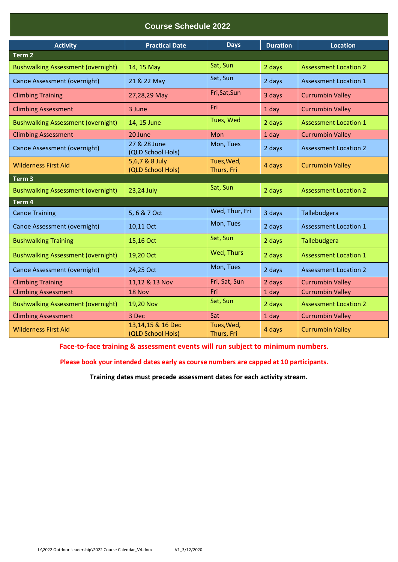# **Course Schedule 2022**

| <b>Activity</b>                           | <b>Practical Date</b>                  | <b>Days</b>              | <b>Duration</b> | <b>Location</b>              |
|-------------------------------------------|----------------------------------------|--------------------------|-----------------|------------------------------|
| Term <sub>2</sub>                         |                                        |                          |                 |                              |
| <b>Bushwalking Assessment (overnight)</b> | 14, 15 May                             | Sat, Sun                 | 2 days          | <b>Assessment Location 2</b> |
| Canoe Assessment (overnight)              | 21 & 22 May                            | Sat, Sun                 | 2 days          | <b>Assessment Location 1</b> |
| <b>Climbing Training</b>                  | 27,28,29 May                           | Fri, Sat, Sun            | 3 days          | <b>Currumbin Valley</b>      |
| <b>Climbing Assessment</b>                | 3 June                                 | Fri                      | $1$ day         | <b>Currumbin Valley</b>      |
| <b>Bushwalking Assessment (overnight)</b> | 14, 15 June                            | Tues, Wed                | 2 days          | <b>Assessment Location 1</b> |
| <b>Climbing Assessment</b>                | 20 June                                | Mon                      | $1$ day         | <b>Currumbin Valley</b>      |
| Canoe Assessment (overnight)              | 27 & 28 June<br>(QLD School Hols)      | Mon, Tues                | 2 days          | <b>Assessment Location 2</b> |
| <b>Wilderness First Aid</b>               | 5,6,7 & 8 July<br>(QLD School Hols)    | Tues, Wed,<br>Thurs, Fri | 4 days          | <b>Currumbin Valley</b>      |
| Term <sub>3</sub>                         |                                        |                          |                 |                              |
| <b>Bushwalking Assessment (overnight)</b> | 23,24 July                             | Sat, Sun                 | 2 days          | <b>Assessment Location 2</b> |
| Term 4                                    |                                        |                          |                 |                              |
| <b>Canoe Training</b>                     | 5, 6 & 7 Oct                           | Wed, Thur, Fri           | 3 days          | Tallebudgera                 |
| Canoe Assessment (overnight)              | 10,11 Oct                              | Mon, Tues                | 2 days          | <b>Assessment Location 1</b> |
| <b>Bushwalking Training</b>               | 15,16 Oct                              | Sat, Sun                 | 2 days          | Tallebudgera                 |
| <b>Bushwalking Assessment (overnight)</b> | 19,20 Oct                              | Wed, Thurs               | 2 days          | <b>Assessment Location 1</b> |
| Canoe Assessment (overnight)              | 24,25 Oct                              | Mon, Tues                | 2 days          | <b>Assessment Location 2</b> |
| <b>Climbing Training</b>                  | 11,12 & 13 Nov                         | Fri, Sat, Sun            | 2 days          | <b>Currumbin Valley</b>      |
| <b>Climbing Assessment</b>                | 18 Nov                                 | Fri                      | 1 day           | <b>Currumbin Valley</b>      |
| <b>Bushwalking Assessment (overnight)</b> | 19,20 Nov                              | Sat, Sun                 | 2 days          | <b>Assessment Location 2</b> |
| <b>Climbing Assessment</b>                | 3 Dec                                  | Sat                      | 1 day           | <b>Currumbin Valley</b>      |
| <b>Wilderness First Aid</b>               | 13,14,15 & 16 Dec<br>(QLD School Hols) | Tues, Wed,<br>Thurs, Fri | 4 days          | <b>Currumbin Valley</b>      |

**Face-to-face training & assessment events will run subject to minimum numbers.**

**Please book your intended dates early as course numbers are capped at 10 participants.**

**Training dates must precede assessment dates for each activity stream.**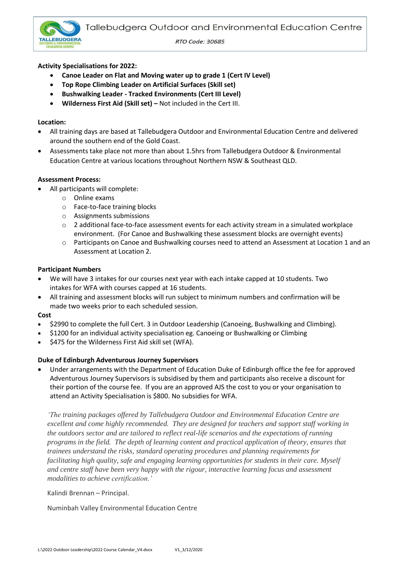

RTO Code: 30685

## **Activity Specialisations for 2022:**

- **Canoe Leader on Flat and Moving water up to grade 1 (Cert IV Level)**
- **Top Rope Climbing Leader on Artificial Surfaces (Skill set)**
- **Bushwalking Leader - Tracked Environments (Cert III Level)**
- **Wilderness First Aid (Skill set) –** Not included in the Cert III.

### **Location:**

- All training days are based at Tallebudgera Outdoor and Environmental Education Centre and delivered around the southern end of the Gold Coast.
- Assessments take place not more than about 1.5hrs from Tallebudgera Outdoor & Environmental Education Centre at various locations throughout Northern NSW & Southeast QLD.

### **Assessment Process:**

- All participants will complete:
	- o Online exams
	- o Face-to-face training blocks
	- o Assignments submissions
	- $\circ$  2 additional face-to-face assessment events for each activity stream in a simulated workplace environment. (For Canoe and Bushwalking these assessment blocks are overnight events)
	- Participants on Canoe and Bushwalking courses need to attend an Assessment at Location 1 and an Assessment at Location 2.

### **Participant Numbers**

- We will have 3 intakes for our courses next year with each intake capped at 10 students. Two intakes for WFA with courses capped at 16 students.
- All training and assessment blocks will run subject to minimum numbers and confirmation will be made two weeks prior to each scheduled session.

#### **Cost**

- \$2990 to complete the full Cert. 3 in Outdoor Leadership (Canoeing, Bushwalking and Climbing).
- \$1200 for an individual activity specialisation eg. Canoeing or Bushwalking or Climbing
- \$475 for the Wilderness First Aid skill set (WFA).

### **Duke of Edinburgh Adventurous Journey Supervisors**

• Under arrangements with the Department of Education Duke of Edinburgh office the fee for approved Adventurous Journey Supervisors is subsidised by them and participants also receive a discount for their portion of the course fee. If you are an approved AJS the cost to you or your organisation to attend an Activity Specialisation is \$800. No subsidies for WFA.

*'The training packages offered by Tallebudgera Outdoor and Environmental Education Centre are excellent and come highly recommended. They are designed for teachers and support staff working in the outdoors sector and are tailored to reflect real-life scenarios and the expectations of running programs in the field. The depth of learning content and practical application of theory, ensures that trainees understand the risks, standard operating procedures and planning requirements for facilitating high quality, safe and engaging learning opportunities for students in their care. Myself and centre staff have been very happy with the rigour, interactive learning focus and assessment modalities to achieve certification.'*

Kalindi Brennan – Principal.

Numinbah Valley Environmental Education Centre